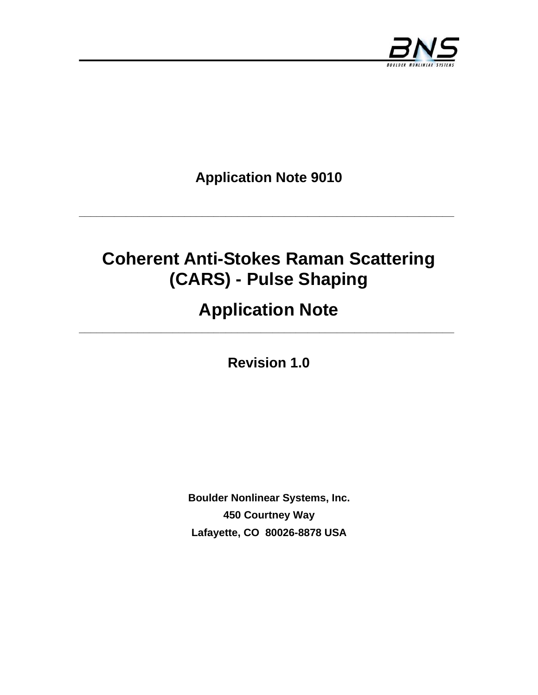

**Application Note 9010** 

**\_\_\_\_\_\_\_\_\_\_\_\_\_\_\_\_\_\_\_\_\_\_\_\_\_\_\_\_\_\_\_\_\_\_\_\_\_\_\_\_\_\_\_\_\_\_\_\_\_\_\_\_\_\_\_\_\_\_\_\_\_\_\_\_** 

## **Coherent Anti-Stokes Raman Scattering (CARS) - Pulse Shaping**

# **Application Note**

**Revision 1.0** 

**Boulder Nonlinear Systems, Inc. 450 Courtney Way Lafayette, CO 80026-8878 USA**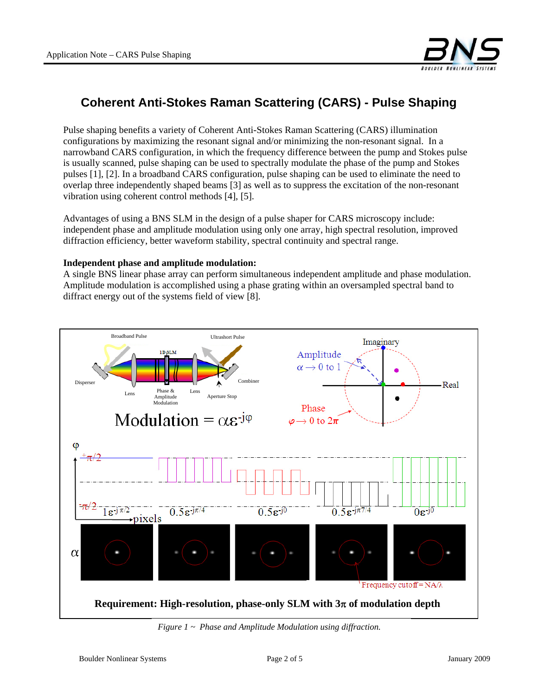

### **Coherent Anti-Stokes Raman Scattering (CARS) - Pulse Shaping**

Pulse shaping benefits a variety of Coherent Anti-Stokes Raman Scattering (CARS) illumination configurations by maximizing the resonant signal and/or minimizing the non-resonant signal. In a narrowband CARS configuration, in which the frequency difference between the pump and Stokes pulse is usually scanned, pulse shaping can be used to spectrally modulate the phase of the pump and Stokes pulses [1], [2]. In a broadband CARS configuration, pulse shaping can be used to eliminate the need to overlap three independently shaped beams [3] as well as to suppress the excitation of the non-resonant vibration using coherent control methods [4], [5].

Advantages of using a BNS SLM in the design of a pulse shaper for CARS microscopy include: independent phase and amplitude modulation using only one array, high spectral resolution, improved diffraction efficiency, better waveform stability, spectral continuity and spectral range.

#### **Independent phase and amplitude modulation:**

A single BNS linear phase array can perform simultaneous independent amplitude and phase modulation. Amplitude modulation is accomplished using a phase grating within an oversampled spectral band to diffract energy out of the systems field of view [8].



*Figure 1 ~ Phase and Amplitude Modulation using diffraction.*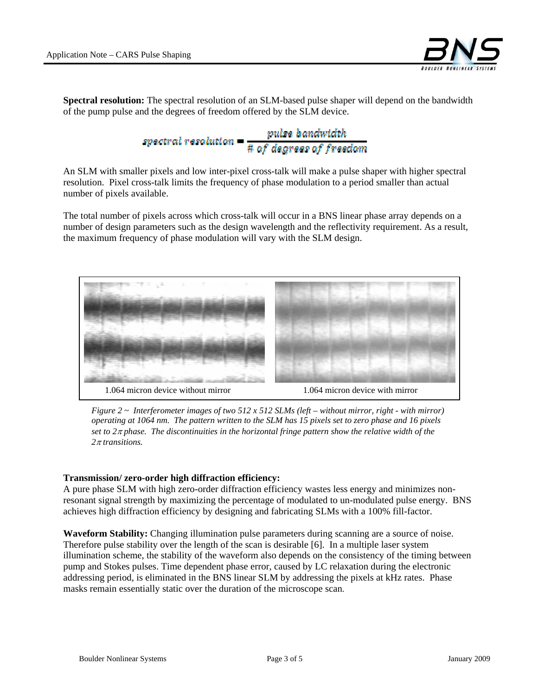

**Spectral resolution:** The spectral resolution of an SLM-based pulse shaper will depend on the bandwidth of the pump pulse and the degrees of freedom offered by the SLM device.

spectral resolution  $=\frac{pulse\;bandwtdth}{\# \; of\; degrass\; of\; fraction}$ 

An SLM with smaller pixels and low inter-pixel cross-talk will make a pulse shaper with higher spectral resolution. Pixel cross-talk limits the frequency of phase modulation to a period smaller than actual number of pixels available.

The total number of pixels across which cross-talk will occur in a BNS linear phase array depends on a number of design parameters such as the design wavelength and the reflectivity requirement. As a result, the maximum frequency of phase modulation will vary with the SLM design.



*Figure 2 ~ Interferometer images of two 512 x 512 SLMs (left – without mirror, right - with mirror) operating at 1064 nm. The pattern written to the SLM has 15 pixels set to zero phase and 16 pixels set to 2*π *phase. The discontinuities in the horizontal fringe pattern show the relative width of the 2*π *transitions.* 

#### **Transmission/ zero-order high diffraction efficiency:**

A pure phase SLM with high zero-order diffraction efficiency wastes less energy and minimizes nonresonant signal strength by maximizing the percentage of modulated to un-modulated pulse energy. BNS achieves high diffraction efficiency by designing and fabricating SLMs with a 100% fill-factor.

**Waveform Stability:** Changing illumination pulse parameters during scanning are a source of noise. Therefore pulse stability over the length of the scan is desirable [6]. In a multiple laser system illumination scheme, the stability of the waveform also depends on the consistency of the timing between pump and Stokes pulses. Time dependent phase error, caused by LC relaxation during the electronic addressing period, is eliminated in the BNS linear SLM by addressing the pixels at kHz rates. Phase masks remain essentially static over the duration of the microscope scan.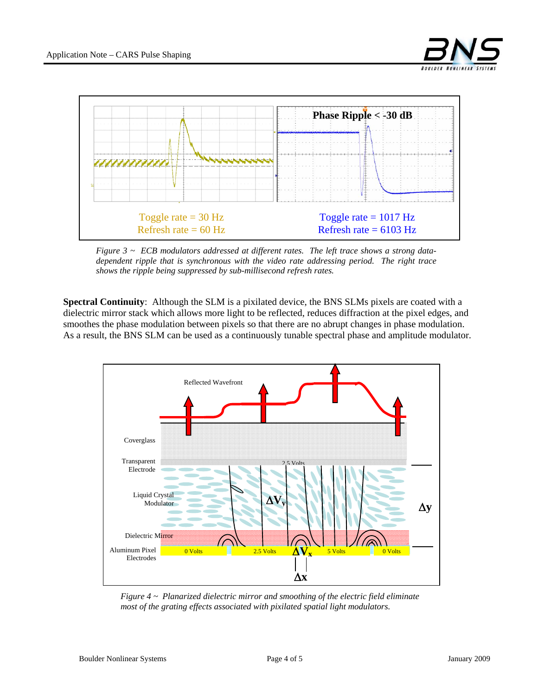

*Figure 3 ~ ECB modulators addressed at different rates. The left trace shows a strong datadependent ripple that is synchronous with the video rate addressing period. The right trace shows the ripple being suppressed by sub-millisecond refresh rates.* 

**Spectral Continuity**: Although the SLM is a pixilated device, the BNS SLMs pixels are coated with a dielectric mirror stack which allows more light to be reflected, reduces diffraction at the pixel edges, and smoothes the phase modulation between pixels so that there are no abrupt changes in phase modulation. As a result, the BNS SLM can be used as a continuously tunable spectral phase and amplitude modulator.



*Figure 4 ~ Planarized dielectric mirror and smoothing of the electric field eliminate most of the grating effects associated with pixilated spatial light modulators.*